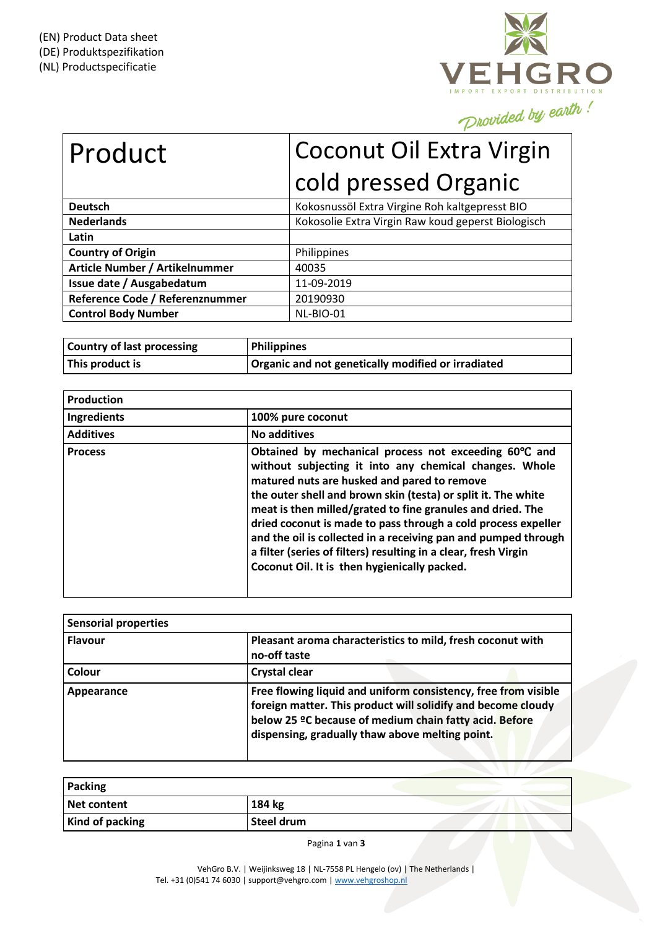

## Product | Coconut Oil Extra Virgin cold pressed Organic **Deutsch** Kokosnussöl Extra Virgine Roh kaltgepresst BIO

| DEULSLII                        | <b>NUNUSHUSSUL LATE &amp; HIGHLE NULL NORGEDI CSST DIO</b> |
|---------------------------------|------------------------------------------------------------|
| <b>Nederlands</b>               | Kokosolie Extra Virgin Raw koud geperst Biologisch         |
| Latin                           |                                                            |
| <b>Country of Origin</b>        | Philippines                                                |
| Article Number / Artikelnummer  | 40035                                                      |
| Issue date / Ausgabedatum       | 11-09-2019                                                 |
| Reference Code / Referenznummer | 20190930                                                   |
| <b>Control Body Number</b>      | NL-BIO-01                                                  |

| <b>Country of last processing</b> | <b>Philippines</b>                                 |
|-----------------------------------|----------------------------------------------------|
| This product is                   | Organic and not genetically modified or irradiated |

| Production       |                                                                                                                                                                                                                                                                                                                                                                                                                                                                                                                                                     |
|------------------|-----------------------------------------------------------------------------------------------------------------------------------------------------------------------------------------------------------------------------------------------------------------------------------------------------------------------------------------------------------------------------------------------------------------------------------------------------------------------------------------------------------------------------------------------------|
| Ingredients      | 100% pure coconut                                                                                                                                                                                                                                                                                                                                                                                                                                                                                                                                   |
| <b>Additives</b> | <b>No additives</b>                                                                                                                                                                                                                                                                                                                                                                                                                                                                                                                                 |
| <b>Process</b>   | Obtained by mechanical process not exceeding 60°C and<br>without subjecting it into any chemical changes. Whole<br>matured nuts are husked and pared to remove<br>the outer shell and brown skin (testa) or split it. The white<br>meat is then milled/grated to fine granules and dried. The<br>dried coconut is made to pass through a cold process expeller<br>and the oil is collected in a receiving pan and pumped through<br>a filter (series of filters) resulting in a clear, fresh Virgin<br>Coconut Oil. It is then hygienically packed. |

| <b>Sensorial properties</b> |                                                                                                                                                                                                                                             |
|-----------------------------|---------------------------------------------------------------------------------------------------------------------------------------------------------------------------------------------------------------------------------------------|
| <b>Flavour</b>              | Pleasant aroma characteristics to mild, fresh coconut with<br>no-off taste                                                                                                                                                                  |
| Colour                      | <b>Crystal clear</b>                                                                                                                                                                                                                        |
| Appearance                  | Free flowing liquid and uniform consistency, free from visible<br>foreign matter. This product will solidify and become cloudy<br>below 25 °C because of medium chain fatty acid. Before<br>dispensing, gradually thaw above melting point. |

| <b>Packing</b>         |            |  |
|------------------------|------------|--|
| Net content            | 184 kg     |  |
| <b>Kind of packing</b> | Steel drum |  |

Pagina **1** van **3**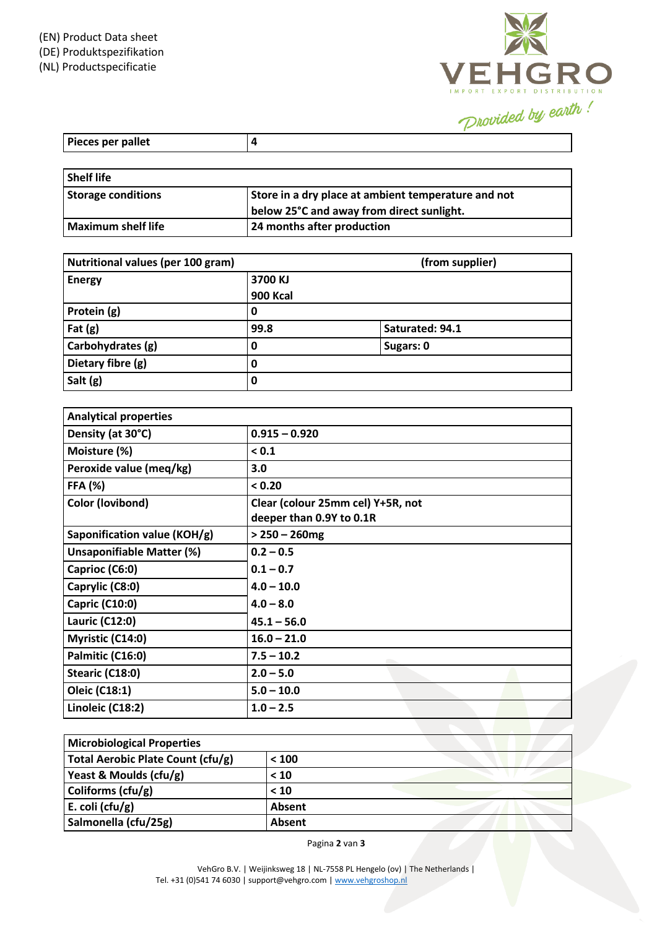

| Pieces per pallet |  |
|-------------------|--|

| <b>Shelf life</b>         |                                                     |
|---------------------------|-----------------------------------------------------|
| <b>Storage conditions</b> | Store in a dry place at ambient temperature and not |
|                           | below 25°C and away from direct sunlight.           |
| Maximum shelf life        | 24 months after production                          |

| Nutritional values (per 100 gram) |          | (from supplier) |
|-----------------------------------|----------|-----------------|
| <b>Energy</b>                     | 3700 KJ  |                 |
|                                   | 900 Kcal |                 |
| Protein (g)                       | 0        |                 |
| Fat $(g)$                         | 99.8     | Saturated: 94.1 |
| Carbohydrates (g)                 | 0        | Sugars: 0       |
| Dietary fibre (g)                 | 0        |                 |
| Salt (g)                          | 0        |                 |

| <b>Analytical properties</b>     |                                                               |
|----------------------------------|---------------------------------------------------------------|
| Density (at 30°C)                | $0.915 - 0.920$                                               |
| Moisture (%)                     | < 0.1                                                         |
| Peroxide value (meq/kg)          | 3.0                                                           |
| <b>FFA (%)</b>                   | < 0.20                                                        |
| <b>Color (lovibond)</b>          | Clear (colour 25mm cel) Y+5R, not<br>deeper than 0.9Y to 0.1R |
| Saponification value (KOH/g)     | $> 250 - 260$ mg                                              |
| <b>Unsaponifiable Matter (%)</b> | $0.2 - 0.5$                                                   |
| Caprioc (C6:0)                   | $0.1 - 0.7$                                                   |
| Caprylic (C8:0)                  | $4.0 - 10.0$                                                  |
| <b>Capric (C10:0)</b>            | $4.0 - 8.0$                                                   |
| Lauric (C12:0)                   | $45.1 - 56.0$                                                 |
| Myristic (C14:0)                 | $16.0 - 21.0$                                                 |
| Palmitic (C16:0)                 | $7.5 - 10.2$                                                  |
| Stearic (C18:0)                  | $2.0 - 5.0$                                                   |
| Oleic (C18:1)                    | $5.0 - 10.0$                                                  |
| Linoleic (C18:2)                 | $1.0 - 2.5$                                                   |

| <b>Microbiological Properties</b> |        |  |
|-----------------------------------|--------|--|
| Total Aerobic Plate Count (cfu/g) | < 100  |  |
| Yeast & Moulds (cfu/g)            | < 10   |  |
| Coliforms $(cfu/g)$               | < 10   |  |
| E. coli ( $ctu/g$ )               | Absent |  |
| Salmonella (cfu/25g)              | Absent |  |

Pagina **2** van **3**